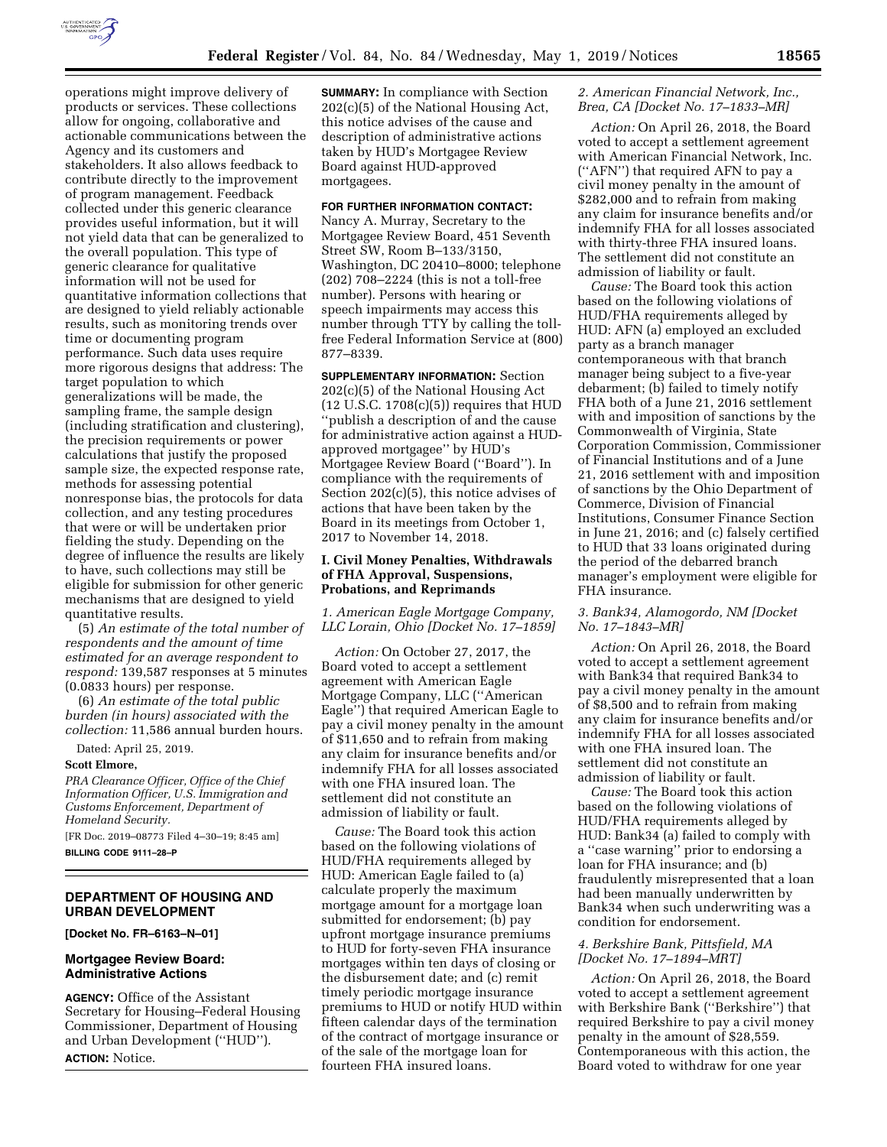

operations might improve delivery of products or services. These collections allow for ongoing, collaborative and actionable communications between the Agency and its customers and stakeholders. It also allows feedback to contribute directly to the improvement of program management. Feedback collected under this generic clearance provides useful information, but it will not yield data that can be generalized to the overall population. This type of generic clearance for qualitative information will not be used for quantitative information collections that are designed to yield reliably actionable results, such as monitoring trends over time or documenting program performance. Such data uses require more rigorous designs that address: The target population to which generalizations will be made, the sampling frame, the sample design (including stratification and clustering), the precision requirements or power calculations that justify the proposed sample size, the expected response rate, methods for assessing potential nonresponse bias, the protocols for data collection, and any testing procedures that were or will be undertaken prior fielding the study. Depending on the degree of influence the results are likely to have, such collections may still be eligible for submission for other generic mechanisms that are designed to yield quantitative results.

(5) *An estimate of the total number of respondents and the amount of time estimated for an average respondent to respond:* 139,587 responses at 5 minutes (0.0833 hours) per response.

(6) *An estimate of the total public burden (in hours) associated with the collection:* 11,586 annual burden hours.

Dated: April 25, 2019.

# **Scott Elmore,**

*PRA Clearance Officer, Office of the Chief Information Officer, U.S. Immigration and Customs Enforcement, Department of Homeland Security.* 

[FR Doc. 2019–08773 Filed 4–30–19; 8:45 am]

**BILLING CODE 9111–28–P** 

#### **DEPARTMENT OF HOUSING AND URBAN DEVELOPMENT**

#### **[Docket No. FR–6163–N–01]**

### **Mortgagee Review Board: Administrative Actions**

**AGENCY:** Office of the Assistant Secretary for Housing–Federal Housing Commissioner, Department of Housing and Urban Development (''HUD''). **ACTION:** Notice.

**SUMMARY:** In compliance with Section 202(c)(5) of the National Housing Act, this notice advises of the cause and description of administrative actions taken by HUD's Mortgagee Review Board against HUD-approved mortgagees.

# **FOR FURTHER INFORMATION CONTACT:**

Nancy A. Murray, Secretary to the Mortgagee Review Board, 451 Seventh Street SW, Room B–133/3150, Washington, DC 20410–8000; telephone (202) 708–2224 (this is not a toll-free number). Persons with hearing or speech impairments may access this number through TTY by calling the tollfree Federal Information Service at (800) 877–8339.

**SUPPLEMENTARY INFORMATION:** Section 202(c)(5) of the National Housing Act (12 U.S.C. 1708(c)(5)) requires that HUD ''publish a description of and the cause for administrative action against a HUDapproved mortgagee'' by HUD's Mortgagee Review Board (''Board''). In compliance with the requirements of Section 202(c)(5), this notice advises of actions that have been taken by the Board in its meetings from October 1, 2017 to November 14, 2018.

### **I. Civil Money Penalties, Withdrawals of FHA Approval, Suspensions, Probations, and Reprimands**

*1. American Eagle Mortgage Company, LLC Lorain, Ohio [Docket No. 17–1859]* 

*Action:* On October 27, 2017, the Board voted to accept a settlement agreement with American Eagle Mortgage Company, LLC (''American Eagle'') that required American Eagle to pay a civil money penalty in the amount of \$11,650 and to refrain from making any claim for insurance benefits and/or indemnify FHA for all losses associated with one FHA insured loan. The settlement did not constitute an admission of liability or fault.

*Cause:* The Board took this action based on the following violations of HUD/FHA requirements alleged by HUD: American Eagle failed to (a) calculate properly the maximum mortgage amount for a mortgage loan submitted for endorsement; (b) pay upfront mortgage insurance premiums to HUD for forty-seven FHA insurance mortgages within ten days of closing or the disbursement date; and (c) remit timely periodic mortgage insurance premiums to HUD or notify HUD within fifteen calendar days of the termination of the contract of mortgage insurance or of the sale of the mortgage loan for fourteen FHA insured loans.

# *2. American Financial Network, Inc., Brea, CA [Docket No. 17–1833–MR]*

*Action:* On April 26, 2018, the Board voted to accept a settlement agreement with American Financial Network, Inc. (''AFN'') that required AFN to pay a civil money penalty in the amount of \$282,000 and to refrain from making any claim for insurance benefits and/or indemnify FHA for all losses associated with thirty-three FHA insured loans. The settlement did not constitute an admission of liability or fault.

*Cause:* The Board took this action based on the following violations of HUD/FHA requirements alleged by HUD: AFN (a) employed an excluded party as a branch manager contemporaneous with that branch manager being subject to a five-year debarment; (b) failed to timely notify FHA both of a June 21, 2016 settlement with and imposition of sanctions by the Commonwealth of Virginia, State Corporation Commission, Commissioner of Financial Institutions and of a June 21, 2016 settlement with and imposition of sanctions by the Ohio Department of Commerce, Division of Financial Institutions, Consumer Finance Section in June 21, 2016; and (c) falsely certified to HUD that 33 loans originated during the period of the debarred branch manager's employment were eligible for FHA insurance.

### *3. Bank34, Alamogordo, NM [Docket No. 17–1843–MR]*

*Action:* On April 26, 2018, the Board voted to accept a settlement agreement with Bank34 that required Bank34 to pay a civil money penalty in the amount of \$8,500 and to refrain from making any claim for insurance benefits and/or indemnify FHA for all losses associated with one FHA insured loan. The settlement did not constitute an admission of liability or fault.

*Cause:* The Board took this action based on the following violations of HUD/FHA requirements alleged by HUD: Bank34 (a) failed to comply with a ''case warning'' prior to endorsing a loan for FHA insurance; and (b) fraudulently misrepresented that a loan had been manually underwritten by Bank34 when such underwriting was a condition for endorsement.

### *4. Berkshire Bank, Pittsfield, MA [Docket No. 17–1894–MRT]*

*Action:* On April 26, 2018, the Board voted to accept a settlement agreement with Berkshire Bank (''Berkshire'') that required Berkshire to pay a civil money penalty in the amount of \$28,559. Contemporaneous with this action, the Board voted to withdraw for one year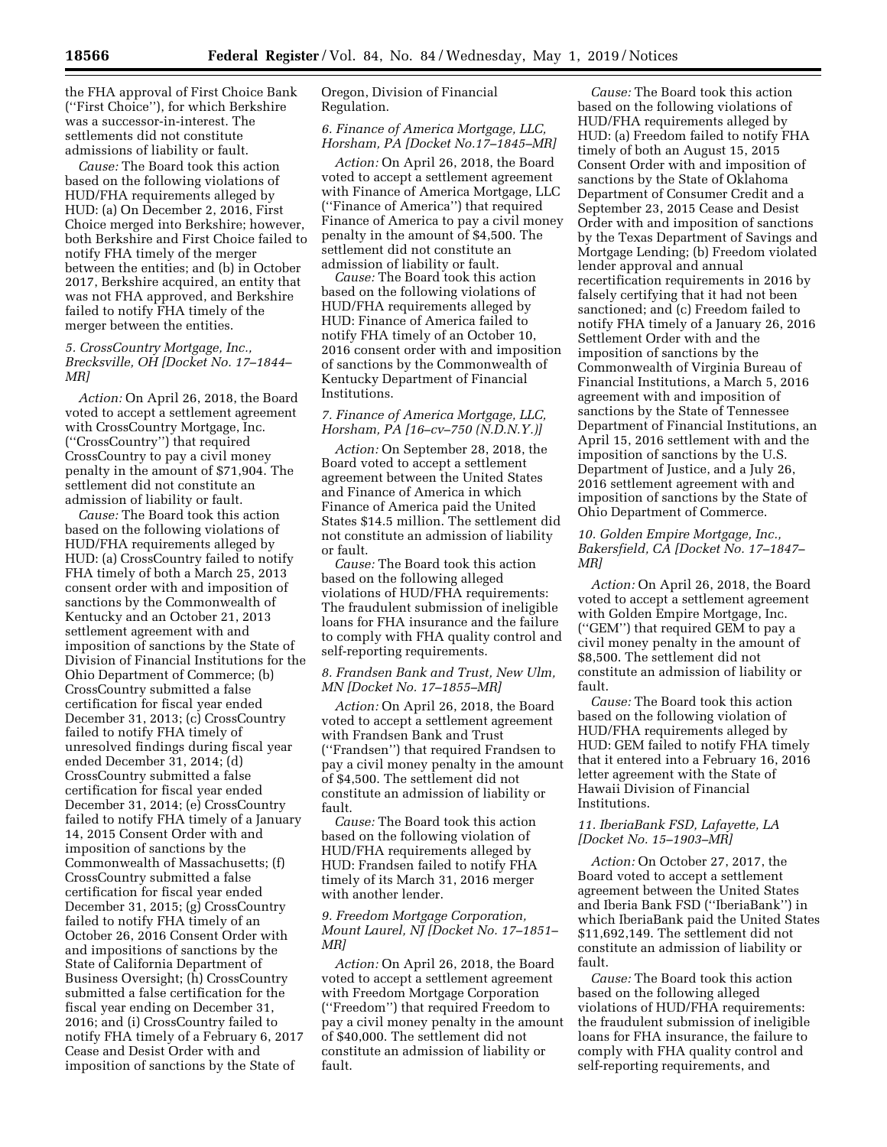the FHA approval of First Choice Bank (''First Choice''), for which Berkshire was a successor-in-interest. The settlements did not constitute admissions of liability or fault.

*Cause:* The Board took this action based on the following violations of HUD/FHA requirements alleged by HUD: (a) On December 2, 2016, First Choice merged into Berkshire; however, both Berkshire and First Choice failed to notify FHA timely of the merger between the entities; and (b) in October 2017, Berkshire acquired, an entity that was not FHA approved, and Berkshire failed to notify FHA timely of the merger between the entities.

### *5. CrossCountry Mortgage, Inc., Brecksville, OH [Docket No. 17–1844– MR]*

*Action:* On April 26, 2018, the Board voted to accept a settlement agreement with CrossCountry Mortgage, Inc. (''CrossCountry'') that required CrossCountry to pay a civil money penalty in the amount of \$71,904. The settlement did not constitute an admission of liability or fault.

*Cause:* The Board took this action based on the following violations of HUD/FHA requirements alleged by HUD: (a) CrossCountry failed to notify FHA timely of both a March 25, 2013 consent order with and imposition of sanctions by the Commonwealth of Kentucky and an October 21, 2013 settlement agreement with and imposition of sanctions by the State of Division of Financial Institutions for the Ohio Department of Commerce; (b) CrossCountry submitted a false certification for fiscal year ended December 31, 2013; (c) CrossCountry failed to notify FHA timely of unresolved findings during fiscal year ended December 31, 2014; (d) CrossCountry submitted a false certification for fiscal year ended December 31, 2014; (e) CrossCountry failed to notify FHA timely of a January 14, 2015 Consent Order with and imposition of sanctions by the Commonwealth of Massachusetts; (f) CrossCountry submitted a false certification for fiscal year ended December 31, 2015; (g) CrossCountry failed to notify FHA timely of an October 26, 2016 Consent Order with and impositions of sanctions by the State of California Department of Business Oversight; (h) CrossCountry submitted a false certification for the fiscal year ending on December 31, 2016; and (i) CrossCountry failed to notify FHA timely of a February 6, 2017 Cease and Desist Order with and imposition of sanctions by the State of

Oregon, Division of Financial Regulation.

# *6. Finance of America Mortgage, LLC, Horsham, PA [Docket No.17–1845–MR]*

*Action:* On April 26, 2018, the Board voted to accept a settlement agreement with Finance of America Mortgage, LLC (''Finance of America'') that required Finance of America to pay a civil money penalty in the amount of \$4,500. The settlement did not constitute an admission of liability or fault.

*Cause:* The Board took this action based on the following violations of HUD/FHA requirements alleged by HUD: Finance of America failed to notify FHA timely of an October 10, 2016 consent order with and imposition of sanctions by the Commonwealth of Kentucky Department of Financial Institutions.

# *7. Finance of America Mortgage, LLC, Horsham, PA [16–cv–750 (N.D.N.Y.)]*

*Action:* On September 28, 2018, the Board voted to accept a settlement agreement between the United States and Finance of America in which Finance of America paid the United States \$14.5 million. The settlement did not constitute an admission of liability or fault.

*Cause:* The Board took this action based on the following alleged violations of HUD/FHA requirements: The fraudulent submission of ineligible loans for FHA insurance and the failure to comply with FHA quality control and self-reporting requirements.

### *8. Frandsen Bank and Trust, New Ulm, MN [Docket No. 17–1855–MR]*

*Action:* On April 26, 2018, the Board voted to accept a settlement agreement with Frandsen Bank and Trust (''Frandsen'') that required Frandsen to pay a civil money penalty in the amount of \$4,500. The settlement did not constitute an admission of liability or fault.

*Cause:* The Board took this action based on the following violation of HUD/FHA requirements alleged by HUD: Frandsen failed to notify FHA timely of its March 31, 2016 merger with another lender.

### *9. Freedom Mortgage Corporation, Mount Laurel, NJ [Docket No. 17–1851– MR]*

*Action:* On April 26, 2018, the Board voted to accept a settlement agreement with Freedom Mortgage Corporation (''Freedom'') that required Freedom to pay a civil money penalty in the amount of \$40,000. The settlement did not constitute an admission of liability or fault.

*Cause:* The Board took this action based on the following violations of HUD/FHA requirements alleged by HUD: (a) Freedom failed to notify FHA timely of both an August 15, 2015 Consent Order with and imposition of sanctions by the State of Oklahoma Department of Consumer Credit and a September 23, 2015 Cease and Desist Order with and imposition of sanctions by the Texas Department of Savings and Mortgage Lending; (b) Freedom violated lender approval and annual recertification requirements in 2016 by falsely certifying that it had not been sanctioned; and (c) Freedom failed to notify FHA timely of a January 26, 2016 Settlement Order with and the imposition of sanctions by the Commonwealth of Virginia Bureau of Financial Institutions, a March 5, 2016 agreement with and imposition of sanctions by the State of Tennessee Department of Financial Institutions, an April 15, 2016 settlement with and the imposition of sanctions by the U.S. Department of Justice, and a July 26, 2016 settlement agreement with and imposition of sanctions by the State of Ohio Department of Commerce.

#### *10. Golden Empire Mortgage, Inc., Bakersfield, CA [Docket No. 17–1847– MR]*

*Action:* On April 26, 2018, the Board voted to accept a settlement agreement with Golden Empire Mortgage, Inc. (''GEM'') that required GEM to pay a civil money penalty in the amount of \$8,500. The settlement did not constitute an admission of liability or fault.

*Cause:* The Board took this action based on the following violation of HUD/FHA requirements alleged by HUD: GEM failed to notify FHA timely that it entered into a February 16, 2016 letter agreement with the State of Hawaii Division of Financial Institutions.

#### *11. IberiaBank FSD, Lafayette, LA [Docket No. 15–1903–MR]*

*Action:* On October 27, 2017, the Board voted to accept a settlement agreement between the United States and Iberia Bank FSD (''IberiaBank'') in which IberiaBank paid the United States \$11,692,149. The settlement did not constitute an admission of liability or fault.

*Cause:* The Board took this action based on the following alleged violations of HUD/FHA requirements: the fraudulent submission of ineligible loans for FHA insurance, the failure to comply with FHA quality control and self-reporting requirements, and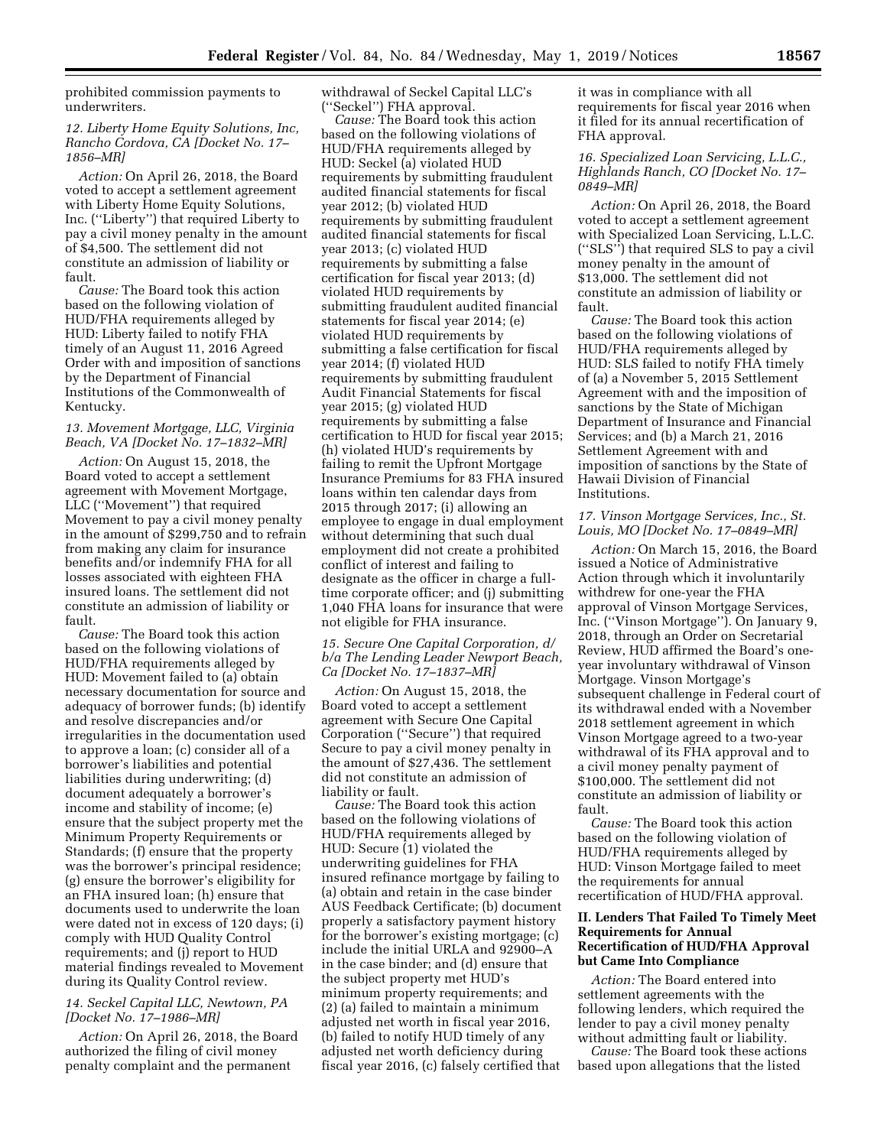prohibited commission payments to underwriters.

#### *12. Liberty Home Equity Solutions, Inc, Rancho Cordova, CA [Docket No. 17– 1856–MR]*

*Action:* On April 26, 2018, the Board voted to accept a settlement agreement with Liberty Home Equity Solutions, Inc. (''Liberty'') that required Liberty to pay a civil money penalty in the amount of \$4,500. The settlement did not constitute an admission of liability or fault.

*Cause:* The Board took this action based on the following violation of HUD/FHA requirements alleged by HUD: Liberty failed to notify FHA timely of an August 11, 2016 Agreed Order with and imposition of sanctions by the Department of Financial Institutions of the Commonwealth of Kentucky.

#### *13. Movement Mortgage, LLC, Virginia Beach, VA [Docket No. 17–1832–MR]*

*Action:* On August 15, 2018, the Board voted to accept a settlement agreement with Movement Mortgage, LLC (''Movement'') that required Movement to pay a civil money penalty in the amount of \$299,750 and to refrain from making any claim for insurance benefits and/or indemnify FHA for all losses associated with eighteen FHA insured loans. The settlement did not constitute an admission of liability or fault.

*Cause:* The Board took this action based on the following violations of HUD/FHA requirements alleged by HUD: Movement failed to (a) obtain necessary documentation for source and adequacy of borrower funds; (b) identify and resolve discrepancies and/or irregularities in the documentation used to approve a loan; (c) consider all of a borrower's liabilities and potential liabilities during underwriting; (d) document adequately a borrower's income and stability of income; (e) ensure that the subject property met the Minimum Property Requirements or Standards; (f) ensure that the property was the borrower's principal residence; (g) ensure the borrower's eligibility for an FHA insured loan; (h) ensure that documents used to underwrite the loan were dated not in excess of 120 days; (i) comply with HUD Quality Control requirements; and (j) report to HUD material findings revealed to Movement during its Quality Control review.

### *14. Seckel Capital LLC, Newtown, PA [Docket No. 17–1986–MR]*

*Action:* On April 26, 2018, the Board authorized the filing of civil money penalty complaint and the permanent

withdrawal of Seckel Capital LLC's (''Seckel'') FHA approval.

*Cause:* The Board took this action based on the following violations of HUD/FHA requirements alleged by HUD: Seckel (a) violated HUD requirements by submitting fraudulent audited financial statements for fiscal year 2012; (b) violated HUD requirements by submitting fraudulent audited financial statements for fiscal year 2013; (c) violated HUD requirements by submitting a false certification for fiscal year 2013; (d) violated HUD requirements by submitting fraudulent audited financial statements for fiscal year 2014; (e) violated HUD requirements by submitting a false certification for fiscal year 2014; (f) violated HUD requirements by submitting fraudulent Audit Financial Statements for fiscal year 2015; (g) violated HUD requirements by submitting a false certification to HUD for fiscal year 2015; (h) violated HUD's requirements by failing to remit the Upfront Mortgage Insurance Premiums for 83 FHA insured loans within ten calendar days from 2015 through 2017; (i) allowing an employee to engage in dual employment without determining that such dual employment did not create a prohibited conflict of interest and failing to designate as the officer in charge a fulltime corporate officer; and (j) submitting 1,040 FHA loans for insurance that were not eligible for FHA insurance.

#### *15. Secure One Capital Corporation, d/ b/a The Lending Leader Newport Beach, Ca [Docket No. 17–1837–MR]*

*Action:* On August 15, 2018, the Board voted to accept a settlement agreement with Secure One Capital Corporation (''Secure'') that required Secure to pay a civil money penalty in the amount of \$27,436. The settlement did not constitute an admission of liability or fault.

*Cause:* The Board took this action based on the following violations of HUD/FHA requirements alleged by HUD: Secure (1) violated the underwriting guidelines for FHA insured refinance mortgage by failing to (a) obtain and retain in the case binder AUS Feedback Certificate; (b) document properly a satisfactory payment history for the borrower's existing mortgage; (c) include the initial URLA and 92900–A in the case binder; and (d) ensure that the subject property met HUD's minimum property requirements; and (2) (a) failed to maintain a minimum adjusted net worth in fiscal year 2016, (b) failed to notify HUD timely of any adjusted net worth deficiency during fiscal year 2016, (c) falsely certified that

it was in compliance with all requirements for fiscal year 2016 when it filed for its annual recertification of FHA approval.

# *16. Specialized Loan Servicing, L.L.C., Highlands Ranch, CO [Docket No. 17– 0849–MR]*

*Action:* On April 26, 2018, the Board voted to accept a settlement agreement with Specialized Loan Servicing, L.L.C. (''SLS'') that required SLS to pay a civil money penalty in the amount of \$13,000. The settlement did not constitute an admission of liability or fault.

*Cause:* The Board took this action based on the following violations of HUD/FHA requirements alleged by HUD: SLS failed to notify FHA timely of (a) a November 5, 2015 Settlement Agreement with and the imposition of sanctions by the State of Michigan Department of Insurance and Financial Services; and (b) a March 21, 2016 Settlement Agreement with and imposition of sanctions by the State of Hawaii Division of Financial Institutions.

### *17. Vinson Mortgage Services, Inc., St. Louis, MO [Docket No. 17–0849–MR]*

*Action:* On March 15, 2016, the Board issued a Notice of Administrative Action through which it involuntarily withdrew for one-year the FHA approval of Vinson Mortgage Services, Inc. (''Vinson Mortgage''). On January 9, 2018, through an Order on Secretarial Review, HUD affirmed the Board's oneyear involuntary withdrawal of Vinson Mortgage. Vinson Mortgage's subsequent challenge in Federal court of its withdrawal ended with a November 2018 settlement agreement in which Vinson Mortgage agreed to a two-year withdrawal of its FHA approval and to a civil money penalty payment of \$100,000. The settlement did not constitute an admission of liability or fault.

*Cause:* The Board took this action based on the following violation of HUD/FHA requirements alleged by HUD: Vinson Mortgage failed to meet the requirements for annual recertification of HUD/FHA approval.

### **II. Lenders That Failed To Timely Meet Requirements for Annual Recertification of HUD/FHA Approval but Came Into Compliance**

*Action:* The Board entered into settlement agreements with the following lenders, which required the lender to pay a civil money penalty without admitting fault or liability.

*Cause:* The Board took these actions based upon allegations that the listed